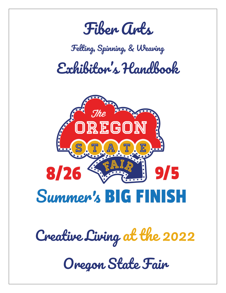

### *Felting, Spinning, & Weaving*

*Exhibitor's Handbook*



*Creative Living at the 2022*

*Oregon State Fair*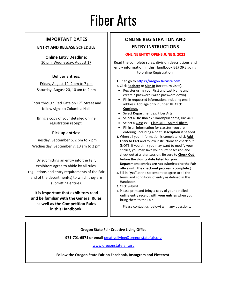# Fiber Arts

#### **IMPORTANT DATES**

#### **ENTRY AND RELEASE SCHEDULE**

**Online Entry Deadline:** 10 pm, Wednesday, August 17

#### **Deliver Entries:**

Friday, August 19, 2 pm to 7 pm Saturday, August 20, 10 am to 2 pm

Enter through Red Gate on 17<sup>th</sup> Street and follow signs to Columbia Hall.

Bring a copy of your detailed online registration receipt.

#### **Pick up entries:**

Tuesday, September 6, 2 pm to 7 pm Wednesday, September 7, 10 am to 2 pm

By submitting an entry into the Fair, exhibitors agree to abide by all rules, regulations and entry requirements of the Fair and of the department(s) to which they are submitting entries.

**It is important that exhibitors read and be familiar with the General Rules as well as the Competition Rules in this Handbook.**

#### **ONLINE REGISTRATION AND ENTRY INSTRUCTIONS**

#### **ONLINE ENTRY OPENS JUNE 8, 2022**

Read the complete rules, division descriptions and entry information in this Handbook **BEFORE** going to online Registration.

#### **1.** Then go to **[https://oregon.fairwire.com](https://oregon.fairwire.com/)**

**2.** Click **Register** or **Sign In** (for return visits).

- Register using your First and Last Name and create a password (write password down).
- Fill in requested information, including email address. Add age only if under 18. Click **Continue**.
- Select **Department** ex: Fiber Arts
- Select a **Division** ex.: Handspun Yarns, Div. 461
- Select a **Class** ex.: Class 4611 Animal fibers
- Fill in all information for class(es) you are entering, including a brief **Description** if needed.
- **3.** When all your information is complete, click **Add Entry to Cart** and follow instructions to check out. (NOTE: If you think you may want to modify your entries, you may save your current session and check out at a later session. Be sure **to Check Out before the closing date listed for your Department; entries are not submitted to the Fair office until the check-out process is complete.)**
- **4.** Fill in "**yes**" at the statement to agree to all the terms and conditions of entry as defined in this Handbook.
- **5.** Click **Submit**.
- **6.** Please print and bring a copy of your detailed online entry receipt **with your entries** when you bring them to the Fair.

Please contact us (below) with any questions.

#### **Oregon State Fair Creative Living Office**

**971-701-6571 or email** [creativeliving@oregonstatefair.org](mailto:creativeliving@oregonstatefair.org)

#### [www.oregonstatefair.org](http://www.oregonstatefair.org/)

**Follow the Oregon State Fair on Facebook, Instagram and Pinterest!**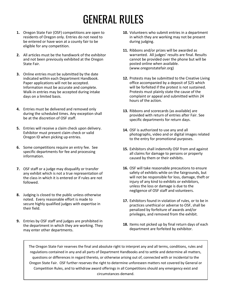## GENERAL RULES

- **1.** Oregon State Fair (OSF) competitions are open to residents of Oregon only. Entries do not need to be entered or have won at a county fair to be eligible for any competition.
- **2.** All articles must be the handiwork of the exhibitor and not been previously exhibited at the Oregon State Fair.
- **3.** Online entries must be submitted by the date indicated within each Department Handbook. Paper applications will not be accepted. Information must be accurate and complete. Walk-in entries may be accepted during intake days on a limited basis.
- **4.** Entries must be delivered and removed only during the scheduled times. Any exception shall be at the discretion of OSF staff.
- **5.** Entries will receive a claim check upon delivery. Exhibitor must present claim check or valid Oregon ID when picking up entries.
- **6.** Some competitions require an entry fee. See specific departments for fee and processing information.
- **7.** OSF staff or a judge may disqualify or transfer any exhibit which is not a true representation of the class in which it is entered or if rules are not followed.
- **8.** Judging is closed to the public unless otherwise noted. Every reasonable effort is made to secure highly qualified judges with expertise in their field.
- **9.** Entries by OSF staff and judges are prohibited in the department in which they are working. They may enter other departments.
- **10.** Volunteers who submit entries in a department in which they are working may not be present during judging.
- **11.** Ribbons and/or prizes will be awarded as warranted. All judges' results are final. Results cannot be provided over the phone but will be posted online when available. (www.oregonstatefair.org)
- **12.** Protests may be submitted to the Creative Living office accompanied by a deposit of \$25 which will be forfeited if the protest is not sustained. Protests must plainly state the cause of the complaint or appeal and submitted within 24 hours of the action.
- **13.** Ribbons and scorecards (as available) are provided with return of entries after Fair. See specific departments for return days.
- **14.** OSF is authorized to use any and all photographs, video and or digital images related to the entry for promotional purposes.
- **15.** Exhibitors shall indemnify OSF from and against all claims for damage to persons or property caused by them or their exhibits.
- **16.** OSF will take reasonable precautions to ensure safety of exhibits while on the fairgrounds, but will not be responsible for loss, damage, theft or injury of any kind to exhibits or exhibitors, unless the loss or damage is due to the negligence of OSF staff and volunteers.
- **17.** Exhibitors found in violation of rules, or to be in practices unethical or adverse to OSF, shall be penalized by forfeiture of awards and/or privileges, and removed from the exhibit.
- **18.** Items not picked up by final return days of each department are forfeited by exhibitor.

The Oregon State Fair reserves the final and absolute right to interpret any and all terms, conditions, rules and regulations contained in any and all parts of Department Handbooks and to settle and determine all matters, questions or differences in regard thereto, or otherwise arising out of, connected with or incidental to the Oregon State Fair. OSF further reserves the right to determine unforeseen matters not covered by General or Competition Rules, and to withdraw award offerings in all Competitions should any emergency exist and circumstances demand.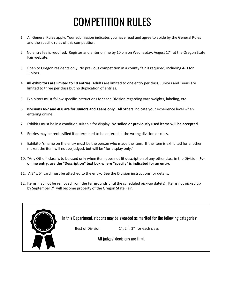### COMPETITION RULES

- 1. All General Rules apply. Your submission indicates you have read and agree to abide by the General Rules and the specific rules of this competition.
- 2. No entry fee is required. Register and enter online by 10 pm on Wednesday, August 17<sup>th</sup> at the Oregon State Fair website.
- 3. Open to Oregon residents only. No previous competition in a county fair is required, including 4-H for Juniors.
- 4. **All exhibitors are limited to 10 entries.** Adults are limited to one entry per class; Juniors and Teens are limited to three per class but no duplication of entries.
- 5. Exhibitors must follow specific instructions for each Division regarding yarn weights, labeling, etc.
- 6. **Divisions 467 and 468 are for Juniors and Teens only.** All others indicate your experience level when entering online.
- 7. Exhibits must be in a condition suitable for display**. No soiled or previously used items will be accepted.**
- 8. Entries may be reclassified if determined to be entered in the wrong division or class.
- 9. Exhibitor's name on the entry must be the person who made the item. If the item is exhibited for another maker, the item will not be judged, but will be "for display only."
- 10. "Any Other" class is to be used only when item does not fit description of any other class in the Division. **For online entry, use the "Description" text box where "specify" is indicated for an entry.**
- 11. A 3" x 5" card must be attached to the entry. See the Division instructions for details.
- 12. Items may not be removed from the Fairgrounds until the scheduled pick-up date(s). Items not picked up by September 7<sup>th</sup> will become property of the Oregon State Fair.

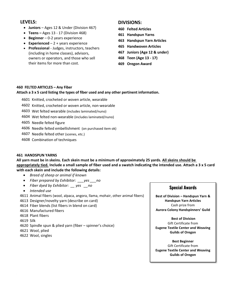#### **LEVELS:**

- **Juniors**  Ages 12 & Under (Division 467)
- **Teens –** Ages 13 17 (Division 468)
- **Beginner**  0-2 years experience
- **Experienced**  2 + years experience
- **Professional**  Judges, instructors, teachers (including in home classes), advisors, owners or operators, and those who sell their items for more than cost.

#### **DIVISIONS:**

- **460 Felted Articles**
- **461 Handspun Yarns**
- **463 Handspun Yarn Articles**
- **465 Handwoven Articles**
- **467 Juniors (Age 12 & under)**
- **468 Teen (Age 13 - 17)**
- **469 Oregon Award**

#### **460 FELTED ARTICLES – Any Fiber**

#### **Attach a 3 x 5 card listing the types of fiber used and any other pertinent information.**

- 4601 Knitted, crocheted or woven article, wearable
- 4602 Knitted, crocheted or woven article, non-wearable
- 4603 Wet felted wearable (includes laminated/nuno)
- ararticlethat 4604 Wet felted non-wearable (includes laminated/nuno)
- 4605 Needle felted figure
- 4606 Needle felted embellishment (on purchased item ok)
- 4607 Needle felted other (scenes, etc.)
- 4608 Combination of techniques

#### **461 HANDSPUN YARNS**

**All yarn must be in skeins. Each skein must be a minimum of approximately 25 yards. All skeins should be appropriately tied. Include a small sample of fiber used and a swatch indicating the intended use. Attach a 3 x 5 card with each skein and include the following details:**

- *Breed of sheep or animal if known*
- *Fiber prepared by Exhibitor: \_\_\_yes \_\_\_no*
- *Fiber dyed by Exhibitor: \_\_ yes \_\_no*
- *Intended use*
- 4611 Animal fibers (wool, alpaca, angora, llama, mohair, other animal fibers)
- 4613 Designer/novelty yarn (describe on card)
- 4614 Fiber blends (list fibers in blend on card)
- 4616 Manufactured fibers
- 4618 Plant fibers
- 4619 Silk
- 4620 Spindle spun & plied yarn (fiber spinner's choice)
- 4621 Wool, plied
- 4622 Wool, singles

#### **Special Awards**

**Best of Division – Handspun Yarn & Handspun Yarn Articles** Cash prize from **Aurora Colony Handspinners' Guild** 

**Best of Division** Gift Certificate from **Eugene Textile Center and Weaving Guilds of Oregon**

**Best Beginner** Gift Certificate from **Eugene Textile Center and Weaving Guilds of Oregon**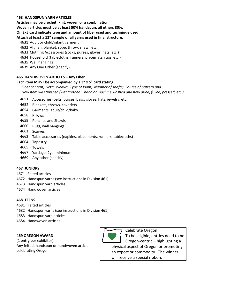#### **463 HANDSPUN YARN ARTICLES**

**Articles may be crochet, knit, woven or a combination.** 

**Woven articles must be at least 50% handspun, all others 80%.**

**On 3x5 card indicate type and amount of fiber used and technique used.** 

#### **Attach at least a 12" sample of all yarns used in final structure.**

- 4631 Adult or child/infant garment
- 4632 Afghan, blanket, robe, throw, shawl, etc.
- 4633 Clothing Accessories (socks, purses, gloves, hats, etc.)
- 4634 Household (tablecloths, runners, placemats, rugs, etc.)
- 4635 Wall hangings

4639 Any One Other (specify)

#### **465 HANDWOVEN ARTICLES – Any Fiber**

#### **Each item MUST be accompanied by a 3" x 5" card stating:**

*Fiber content; Sett; Weave; Type of loom; Number of shafts; Source of pattern and How item was finished (wet finished – hand or machine washed and how dried, fulled, pressed, etc.)*

- 4651 Accessories (belts, purses, bags, gloves, hats, jewelry, etc.)
- 4652 Blankets, throws, coverlets
- 4654 Garments, adult/child/baby
- 4658 Pillows
- 4659 Ponchos and Shawls
- 4660 Rugs, wall hangings
- 4661 Scarves
- 4662 Table accessories (napkins, placements, runners, tablecloths)
- 4664 Tapestry
- 4665 Towels
- 4667 Yardage, 2yd. minimum
- 4669 Any other (specify)

#### **467 JUNIORS**

- 4671 Felted articles
- 4672 Handspun yarns (see instructions in Division 461)
- 4673 Handspun yarn articles
- 4674 Handwoven articles

#### **468 TEENS**

- 4681 Felted articles
- 4682 Handspun yarns (see instructions in Division 461)
- 4683 Handspun yarn articles
- 4684 Handwoven articles

#### **469 OREGON AWARD**

(1 entry per exhibitor) Any felted, handspun or handwoven article celebrating Oregon



Celebrate Oregon! To be eligible, entries need to be Oregon-centric – highlighting a physical aspect of Oregon or promoting an export or commodity. The winner

will receive a special ribbon.